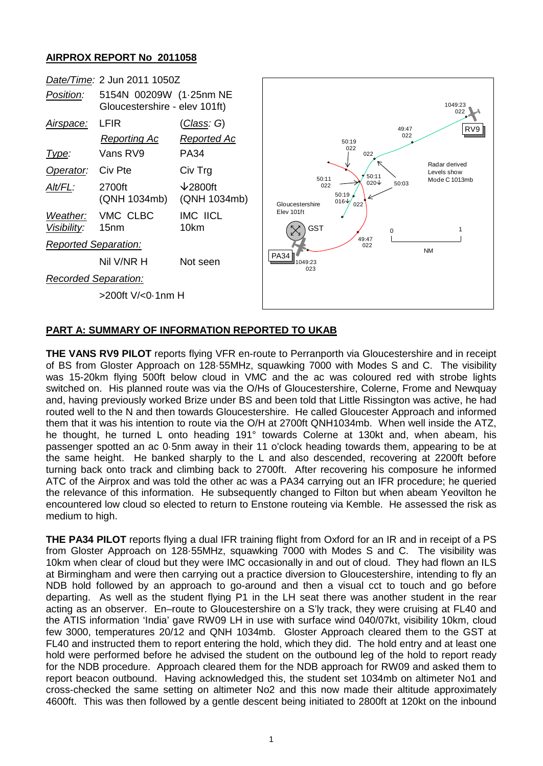## **AIRPROX REPORT No 2011058**



## **PART A: SUMMARY OF INFORMATION REPORTED TO UKAB**

**THE VANS RV9 PILOT** reports flying VFR en-route to Perranporth via Gloucestershire and in receipt of BS from Gloster Approach on 128·55MHz, squawking 7000 with Modes S and C. The visibility was 15-20km flying 500ft below cloud in VMC and the ac was coloured red with strobe lights switched on. His planned route was via the O/Hs of Gloucestershire, Colerne, Frome and Newquay and, having previously worked Brize under BS and been told that Little Rissington was active, he had routed well to the N and then towards Gloucestershire. He called Gloucester Approach and informed them that it was his intention to route via the O/H at 2700ft QNH1034mb. When well inside the ATZ, he thought, he turned L onto heading 191° towards Colerne at 130kt and, when abeam, his passenger spotted an ac 0·5nm away in their 11 o'clock heading towards them, appearing to be at the same height. He banked sharply to the L and also descended, recovering at 2200ft before turning back onto track and climbing back to 2700ft. After recovering his composure he informed ATC of the Airprox and was told the other ac was a PA34 carrying out an IFR procedure; he queried the relevance of this information. He subsequently changed to Filton but when abeam Yeovilton he encountered low cloud so elected to return to Enstone routeing via Kemble. He assessed the risk as medium to high.

**THE PA34 PILOT** reports flying a dual IFR training flight from Oxford for an IR and in receipt of a PS from Gloster Approach on 128·55MHz, squawking 7000 with Modes S and C. The visibility was 10km when clear of cloud but they were IMC occasionally in and out of cloud. They had flown an ILS at Birmingham and were then carrying out a practice diversion to Gloucestershire, intending to fly an NDB hold followed by an approach to go-around and then a visual cct to touch and go before departing. As well as the student flying P1 in the LH seat there was another student in the rear acting as an observer. En–route to Gloucestershire on a S'ly track, they were cruising at FL40 and the ATIS information 'India' gave RW09 LH in use with surface wind 040/07kt, visibility 10km, cloud few 3000, temperatures 20/12 and QNH 1034mb. Gloster Approach cleared them to the GST at FL40 and instructed them to report entering the hold, which they did. The hold entry and at least one hold were performed before he advised the student on the outbound leg of the hold to report ready for the NDB procedure. Approach cleared them for the NDB approach for RW09 and asked them to report beacon outbound. Having acknowledged this, the student set 1034mb on altimeter No1 and cross-checked the same setting on altimeter No2 and this now made their altitude approximately 4600ft. This was then followed by a gentle descent being initiated to 2800ft at 120kt on the inbound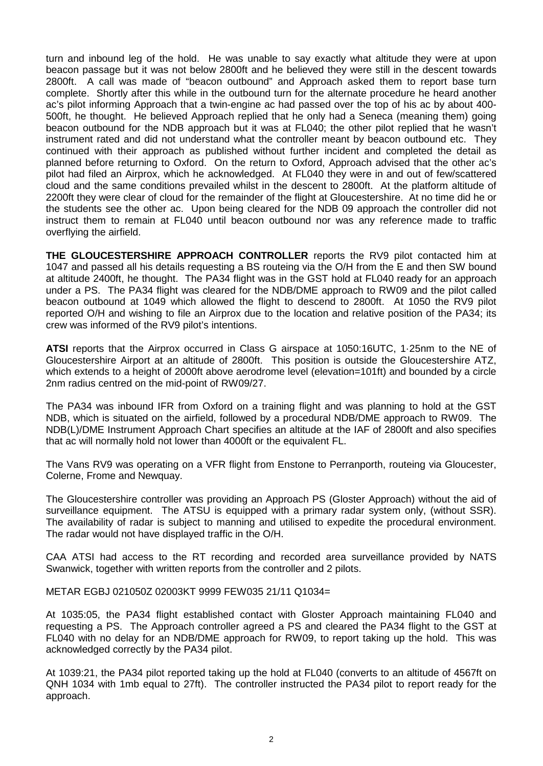turn and inbound leg of the hold. He was unable to say exactly what altitude they were at upon beacon passage but it was not below 2800ft and he believed they were still in the descent towards 2800ft. A call was made of "beacon outbound" and Approach asked them to report base turn complete. Shortly after this while in the outbound turn for the alternate procedure he heard another ac's pilot informing Approach that a twin-engine ac had passed over the top of his ac by about 400- 500ft, he thought. He believed Approach replied that he only had a Seneca (meaning them) going beacon outbound for the NDB approach but it was at FL040; the other pilot replied that he wasn't instrument rated and did not understand what the controller meant by beacon outbound etc. They continued with their approach as published without further incident and completed the detail as planned before returning to Oxford. On the return to Oxford, Approach advised that the other ac's pilot had filed an Airprox, which he acknowledged. At FL040 they were in and out of few/scattered cloud and the same conditions prevailed whilst in the descent to 2800ft. At the platform altitude of 2200ft they were clear of cloud for the remainder of the flight at Gloucestershire. At no time did he or the students see the other ac. Upon being cleared for the NDB 09 approach the controller did not instruct them to remain at FL040 until beacon outbound nor was any reference made to traffic overflying the airfield.

**THE GLOUCESTERSHIRE APPROACH CONTROLLER** reports the RV9 pilot contacted him at 1047 and passed all his details requesting a BS routeing via the O/H from the E and then SW bound at altitude 2400ft, he thought. The PA34 flight was in the GST hold at FL040 ready for an approach under a PS. The PA34 flight was cleared for the NDB/DME approach to RW09 and the pilot called beacon outbound at 1049 which allowed the flight to descend to 2800ft. At 1050 the RV9 pilot reported O/H and wishing to file an Airprox due to the location and relative position of the PA34; its crew was informed of the RV9 pilot's intentions.

**ATSI** reports that the Airprox occurred in Class G airspace at 1050:16UTC, 1·25nm to the NE of Gloucestershire Airport at an altitude of 2800ft. This position is outside the Gloucestershire ATZ, which extends to a height of 2000ft above aerodrome level (elevation=101ft) and bounded by a circle 2nm radius centred on the mid-point of RW09/27.

The PA34 was inbound IFR from Oxford on a training flight and was planning to hold at the GST NDB, which is situated on the airfield, followed by a procedural NDB/DME approach to RW09. The NDB(L)/DME Instrument Approach Chart specifies an altitude at the IAF of 2800ft and also specifies that ac will normally hold not lower than 4000ft or the equivalent FL.

The Vans RV9 was operating on a VFR flight from Enstone to Perranporth, routeing via Gloucester, Colerne, Frome and Newquay.

The Gloucestershire controller was providing an Approach PS (Gloster Approach) without the aid of surveillance equipment. The ATSU is equipped with a primary radar system only, (without SSR). The availability of radar is subject to manning and utilised to expedite the procedural environment. The radar would not have displayed traffic in the O/H.

CAA ATSI had access to the RT recording and recorded area surveillance provided by NATS Swanwick, together with written reports from the controller and 2 pilots.

METAR EGBJ 021050Z 02003KT 9999 FEW035 21/11 Q1034=

At 1035:05, the PA34 flight established contact with Gloster Approach maintaining FL040 and requesting a PS. The Approach controller agreed a PS and cleared the PA34 flight to the GST at FL040 with no delay for an NDB/DME approach for RW09, to report taking up the hold. This was acknowledged correctly by the PA34 pilot.

At 1039:21, the PA34 pilot reported taking up the hold at FL040 (converts to an altitude of 4567ft on QNH 1034 with 1mb equal to 27ft). The controller instructed the PA34 pilot to report ready for the approach.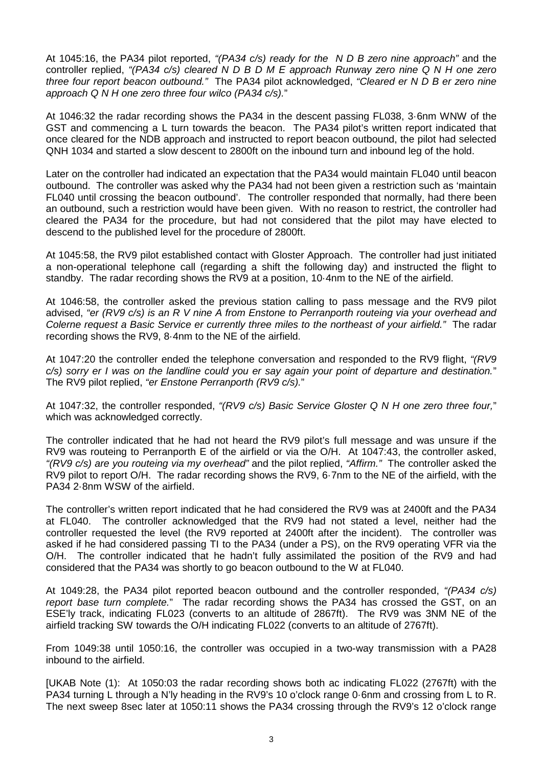At 1045:16, the PA34 pilot reported, *"(PA34 c/s) ready for the N D B zero nine approach"* and the controller replied, *"(PA34 c/s) cleared N D B D M E approach Runway zero nine Q N H one zero three four report beacon outbound."* The PA34 pilot acknowledged, *"Cleared er N D B er zero nine approach Q N H one zero three four wilco (PA34 c/s).*"

At 1046:32 the radar recording shows the PA34 in the descent passing FL038, 3·6nm WNW of the GST and commencing a L turn towards the beacon. The PA34 pilot's written report indicated that once cleared for the NDB approach and instructed to report beacon outbound, the pilot had selected QNH 1034 and started a slow descent to 2800ft on the inbound turn and inbound leg of the hold.

Later on the controller had indicated an expectation that the PA34 would maintain FL040 until beacon outbound. The controller was asked why the PA34 had not been given a restriction such as 'maintain FL040 until crossing the beacon outbound'. The controller responded that normally, had there been an outbound, such a restriction would have been given. With no reason to restrict, the controller had cleared the PA34 for the procedure, but had not considered that the pilot may have elected to descend to the published level for the procedure of 2800ft.

At 1045:58, the RV9 pilot established contact with Gloster Approach. The controller had just initiated a non-operational telephone call (regarding a shift the following day) and instructed the flight to standby. The radar recording shows the RV9 at a position, 10·4nm to the NE of the airfield.

At 1046:58, the controller asked the previous station calling to pass message and the RV9 pilot advised, *"er (RV9 c/s) is an R V nine A from Enstone to Perranporth routeing via your overhead and Colerne request a Basic Service er currently three miles to the northeast of your airfield."* The radar recording shows the RV9, 8·4nm to the NE of the airfield.

At 1047:20 the controller ended the telephone conversation and responded to the RV9 flight, *"(RV9 c/s) sorry er I was on the landline could you er say again your point of departure and destination.*" The RV9 pilot replied, *"er Enstone Perranporth (RV9 c/s).*"

At 1047:32, the controller responded, *"(RV9 c/s) Basic Service Gloster Q N H one zero three four,*" which was acknowledged correctly.

The controller indicated that he had not heard the RV9 pilot's full message and was unsure if the RV9 was routeing to Perranporth E of the airfield or via the O/H. At 1047:43, the controller asked, *"(RV9 c/s) are you routeing via my overhead"* and the pilot replied, *"Affirm."* The controller asked the RV9 pilot to report O/H. The radar recording shows the RV9, 6·7nm to the NE of the airfield, with the PA34 2·8nm WSW of the airfield.

The controller's written report indicated that he had considered the RV9 was at 2400ft and the PA34 at FL040. The controller acknowledged that the RV9 had not stated a level, neither had the controller requested the level (the RV9 reported at 2400ft after the incident). The controller was asked if he had considered passing TI to the PA34 (under a PS), on the RV9 operating VFR via the O/H. The controller indicated that he hadn't fully assimilated the position of the RV9 and had considered that the PA34 was shortly to go beacon outbound to the W at FL040.

At 1049:28, the PA34 pilot reported beacon outbound and the controller responded, *"(PA34 c/s) report base turn complete.*" The radar recording shows the PA34 has crossed the GST, on an ESE'ly track, indicating FL023 (converts to an altitude of 2867ft). The RV9 was 3NM NE of the airfield tracking SW towards the O/H indicating FL022 (converts to an altitude of 2767ft).

From 1049:38 until 1050:16, the controller was occupied in a two-way transmission with a PA28 inbound to the airfield.

[UKAB Note (1): At 1050:03 the radar recording shows both ac indicating FL022 (2767ft) with the PA34 turning L through a N'ly heading in the RV9's 10 o'clock range 0·6nm and crossing from L to R. The next sweep 8sec later at 1050:11 shows the PA34 crossing through the RV9's 12 o'clock range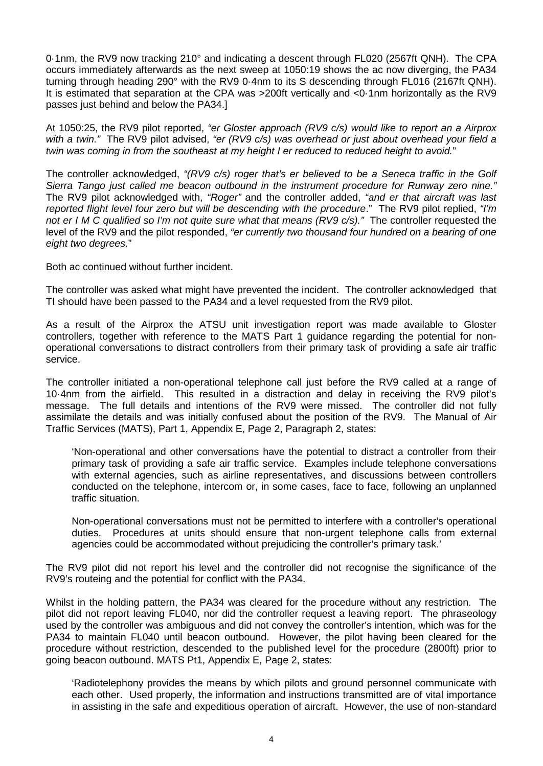0·1nm, the RV9 now tracking 210° and indicating a descent through FL020 (2567ft QNH). The CPA occurs immediately afterwards as the next sweep at 1050:19 shows the ac now diverging, the PA34 turning through heading 290° with the RV9 0·4nm to its S descending through FL016 (2167ft QNH). It is estimated that separation at the CPA was >200ft vertically and <0·1nm horizontally as the RV9 passes just behind and below the PA34.]

At 1050:25, the RV9 pilot reported, *"er Gloster approach (RV9 c/s) would like to report an a Airprox with a twin."* The RV9 pilot advised, *"er (RV9 c/s) was overhead or just about overhead your field a twin was coming in from the southeast at my height I er reduced to reduced height to avoid.*"

The controller acknowledged, *"(RV9 c/s) roger that's er believed to be a Seneca traffic in the Golf Sierra Tango just called me beacon outbound in the instrument procedure for Runway zero nine."* The RV9 pilot acknowledged with, *"Roger"* and the controller added, *"and er that aircraft was last reported flight level four zero but will be descending with the procedure*." The RV9 pilot replied, *"I'm not er I M C qualified so I'm not quite sure what that means (RV9 c/s)."* The controller requested the level of the RV9 and the pilot responded, *"er currently two thousand four hundred on a bearing of one eight two degrees.*"

Both ac continued without further incident.

The controller was asked what might have prevented the incident. The controller acknowledged that TI should have been passed to the PA34 and a level requested from the RV9 pilot.

As a result of the Airprox the ATSU unit investigation report was made available to Gloster controllers, together with reference to the MATS Part 1 guidance regarding the potential for nonoperational conversations to distract controllers from their primary task of providing a safe air traffic service.

The controller initiated a non-operational telephone call just before the RV9 called at a range of 10·4nm from the airfield. This resulted in a distraction and delay in receiving the RV9 pilot's message. The full details and intentions of the RV9 were missed. The controller did not fully assimilate the details and was initially confused about the position of the RV9. The Manual of Air Traffic Services (MATS), Part 1, Appendix E, Page 2, Paragraph 2, states:

'Non-operational and other conversations have the potential to distract a controller from their primary task of providing a safe air traffic service. Examples include telephone conversations with external agencies, such as airline representatives, and discussions between controllers conducted on the telephone, intercom or, in some cases, face to face, following an unplanned traffic situation.

Non-operational conversations must not be permitted to interfere with a controller's operational duties. Procedures at units should ensure that non-urgent telephone calls from external agencies could be accommodated without prejudicing the controller's primary task.'

The RV9 pilot did not report his level and the controller did not recognise the significance of the RV9's routeing and the potential for conflict with the PA34.

Whilst in the holding pattern, the PA34 was cleared for the procedure without any restriction. The pilot did not report leaving FL040, nor did the controller request a leaving report. The phraseology used by the controller was ambiguous and did not convey the controller's intention, which was for the PA34 to maintain FL040 until beacon outbound. However, the pilot having been cleared for the procedure without restriction, descended to the published level for the procedure (2800ft) prior to going beacon outbound. MATS Pt1, Appendix E, Page 2, states:

'Radiotelephony provides the means by which pilots and ground personnel communicate with each other. Used properly, the information and instructions transmitted are of vital importance in assisting in the safe and expeditious operation of aircraft. However, the use of non-standard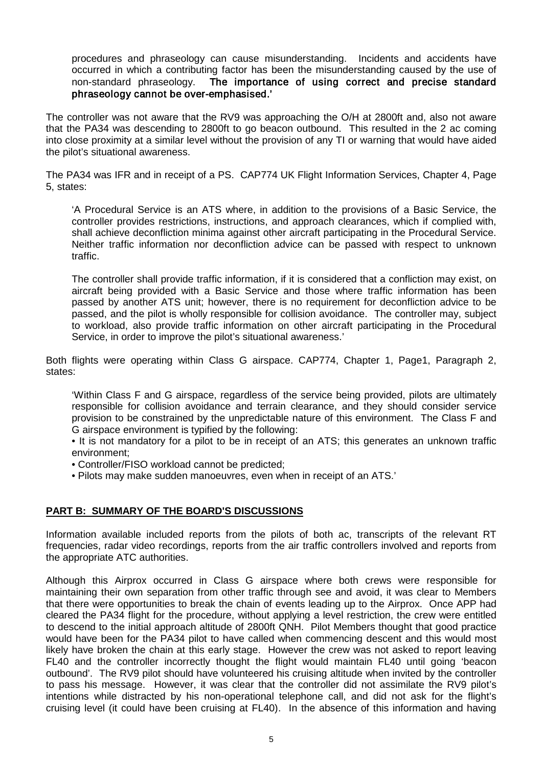procedures and phraseology can cause misunderstanding. Incidents and accidents have occurred in which a contributing factor has been the misunderstanding caused by the use of non-standard phraseology. The importance of using correct and precise standard phraseology cannot be over-emphasised.'

The controller was not aware that the RV9 was approaching the O/H at 2800ft and, also not aware that the PA34 was descending to 2800ft to go beacon outbound. This resulted in the 2 ac coming into close proximity at a similar level without the provision of any TI or warning that would have aided the pilot's situational awareness.

The PA34 was IFR and in receipt of a PS. CAP774 UK Flight Information Services, Chapter 4, Page 5, states:

'A Procedural Service is an ATS where, in addition to the provisions of a Basic Service, the controller provides restrictions, instructions, and approach clearances, which if complied with, shall achieve deconfliction minima against other aircraft participating in the Procedural Service. Neither traffic information nor deconfliction advice can be passed with respect to unknown traffic.

The controller shall provide traffic information, if it is considered that a confliction may exist, on aircraft being provided with a Basic Service and those where traffic information has been passed by another ATS unit; however, there is no requirement for deconfliction advice to be passed, and the pilot is wholly responsible for collision avoidance. The controller may, subject to workload, also provide traffic information on other aircraft participating in the Procedural Service, in order to improve the pilot's situational awareness.'

Both flights were operating within Class G airspace. CAP774, Chapter 1, Page1, Paragraph 2, states:

'Within Class F and G airspace, regardless of the service being provided, pilots are ultimately responsible for collision avoidance and terrain clearance, and they should consider service provision to be constrained by the unpredictable nature of this environment. The Class F and G airspace environment is typified by the following:

• It is not mandatory for a pilot to be in receipt of an ATS; this generates an unknown traffic environment;

- Controller/FISO workload cannot be predicted;
- Pilots may make sudden manoeuvres, even when in receipt of an ATS.'

## **PART B: SUMMARY OF THE BOARD'S DISCUSSIONS**

Information available included reports from the pilots of both ac, transcripts of the relevant RT frequencies, radar video recordings, reports from the air traffic controllers involved and reports from the appropriate ATC authorities.

Although this Airprox occurred in Class G airspace where both crews were responsible for maintaining their own separation from other traffic through see and avoid, it was clear to Members that there were opportunities to break the chain of events leading up to the Airprox. Once APP had cleared the PA34 flight for the procedure, without applying a level restriction, the crew were entitled to descend to the initial approach altitude of 2800ft QNH. Pilot Members thought that good practice would have been for the PA34 pilot to have called when commencing descent and this would most likely have broken the chain at this early stage. However the crew was not asked to report leaving FL40 and the controller incorrectly thought the flight would maintain FL40 until going 'beacon outbound'. The RV9 pilot should have volunteered his cruising altitude when invited by the controller to pass his message. However, it was clear that the controller did not assimilate the RV9 pilot's intentions while distracted by his non-operational telephone call, and did not ask for the flight's cruising level (it could have been cruising at FL40). In the absence of this information and having